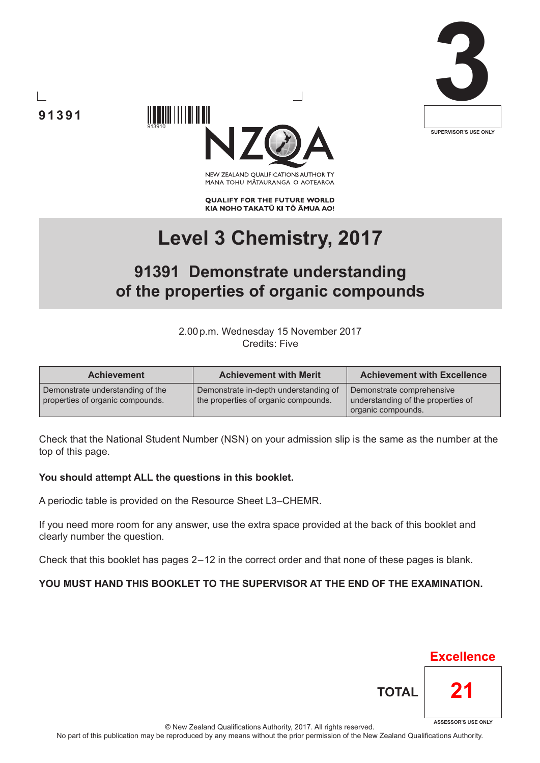





NEW ZEALAND OUALIFICATIONS AUTHORITY MANA TOHU MĀTAURANGA O AOTEAROA

**QUALIFY FOR THE FUTURE WORLD** KIA NOHO TAKATŪ KI TŌ ĀMUA AO!

# **Level 3 Chemistry, 2017**

# **91391 Demonstrate understanding of the properties of organic compounds**

2.00p.m. Wednesday 15 November 2017 Credits: Five

| <b>Achievement</b>                                                   | <b>Achievement with Merit</b>                                                 | <b>Achievement with Excellence</b>                                                    |
|----------------------------------------------------------------------|-------------------------------------------------------------------------------|---------------------------------------------------------------------------------------|
| Demonstrate understanding of the<br>properties of organic compounds. | Demonstrate in-depth understanding of<br>the properties of organic compounds. | Demonstrate comprehensive<br>understanding of the properties of<br>organic compounds. |

Check that the National Student Number (NSN) on your admission slip is the same as the number at the top of this page.

#### **You should attempt ALL the questions in this booklet.**

A periodic table is provided on the Resource Sheet L3–CHEMR.

If you need more room for any answer, use the extra space provided at the back of this booklet and clearly number the question.

Check that this booklet has pages 2 – 12 in the correct order and that none of these pages is blank.

#### **YOU MUST HAND THIS BOOKLET TO THE SUPERVISOR AT THE END OF THE EXAMINATION.**

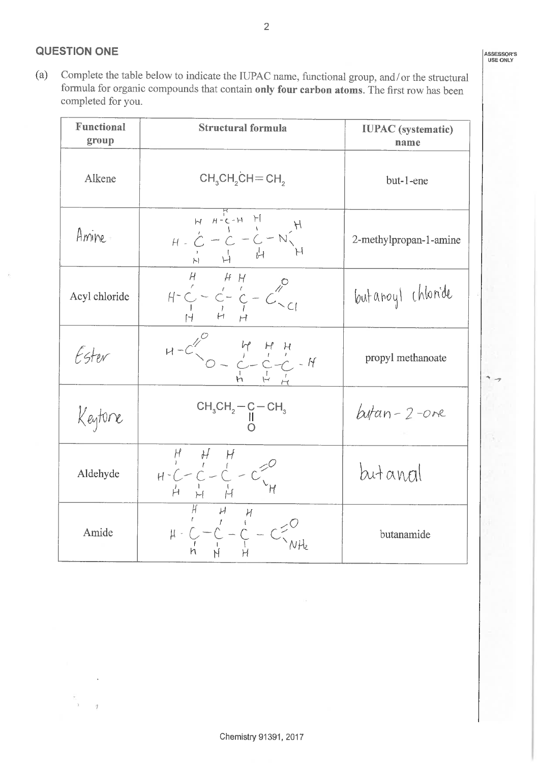$(a)$ Complete the table below to indicate the IUPAC name, functional group, and/or the structural formula for organic compounds that contain only four carbon atoms. The first row has been completed for you.

 $\overline{2}$ 

| <b>Functional</b><br>group | <b>Structural formula</b>                                                                                                                                                                                | <b>IUPAC</b> (systematic)<br>name |  |
|----------------------------|----------------------------------------------------------------------------------------------------------------------------------------------------------------------------------------------------------|-----------------------------------|--|
| Alkene                     | $CH3CH2CH=CH2$                                                                                                                                                                                           | but-1-ene                         |  |
| Amine                      | $H - C - C - C - N$                                                                                                                                                                                      | 2-methylpropan-1-amine            |  |
| Acyl chloride              | $H - C - C - C - C$                                                                                                                                                                                      | butanoyl chloride                 |  |
| Ester                      | $H-C\begin{pmatrix} 0 & H & H & H \\ 0 & 0 & C & C & H \\ 0 & 0 & 0 & H & H \end{pmatrix} = H$                                                                                                           | propyl methanoate                 |  |
| Keytone                    | $CH_3CH_2-C-CH_3$                                                                                                                                                                                        | $hat-2$ -ore                      |  |
| Aldehyde                   | $H = \begin{array}{ c c } \hline H & H & H \\ \hline H & \ddot{C} & \ddot{C} & \ddot{C} \\ \hline H & \ddot{C} & \ddot{C} & \ddot{C} \\ \hline H & \ddot{H} & \ddot{H} & \ddot{H} \\ \hline \end{array}$ | butanral                          |  |
| Amide                      |                                                                                                                                                                                                          | butanamide                        |  |

ž  $\bar{\rm{y}}$ 

 $\overline{y}$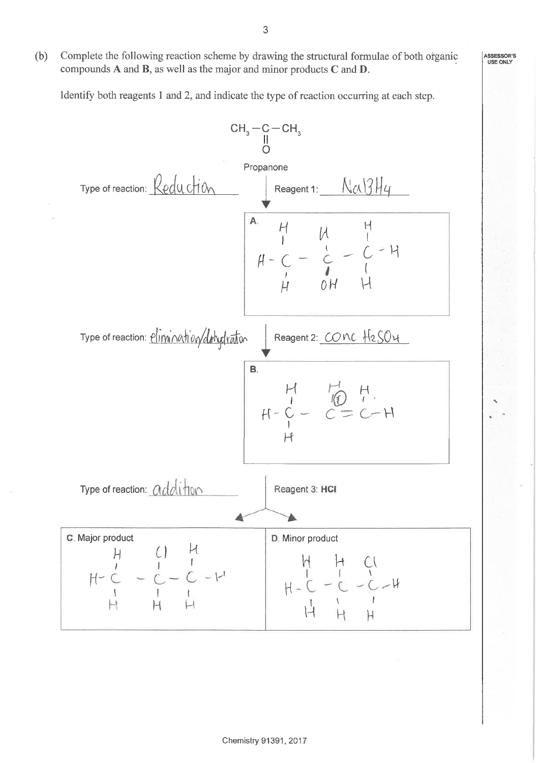$(b)$ Complete the following reaction scheme by drawing the structural formulae of both organic compounds  $A$  and  $B$ , as well as the major and minor products  $C$  and  $D$ .

Identify both reagents 1 and 2, and indicate the type of reaction occurring at each step.

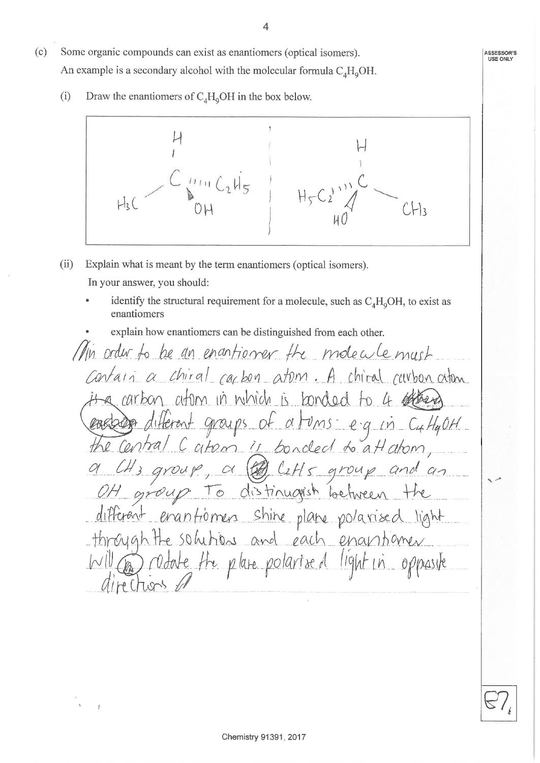- 
- Some organic compounds can exist as enantiomers (optical isomers).  $(c)$ An example is a secondary alcohol with the molecular formula  $C_A H_0OH$ .
	- $(i)$ Draw the enantiomers of  $C_4H_9OH$  in the box below.



- Explain what is meant by the term enantiomers (optical isomers).  $(ii)$ In your answer, you should:
	- identify the structural requirement for a molecule, such as  $C_A H_0OH$ , to exist as enantiomers
	- explain how enantiomers can be distinguished from each other.

Min order to be an enantioner the modecule must Contain a chiral carbon atom. A chiral curbon atom it a carbon atom in which is bonded to 4 offered cookbogs different groups of atoms eg in CuttyOH the central C atom is bonded to attatom, a CH3 group, a @ C2H5 group and an different erantioners shire plane polaxised light through the solutions and each enantioner Will as rodate the plane polarised light in opposite directions of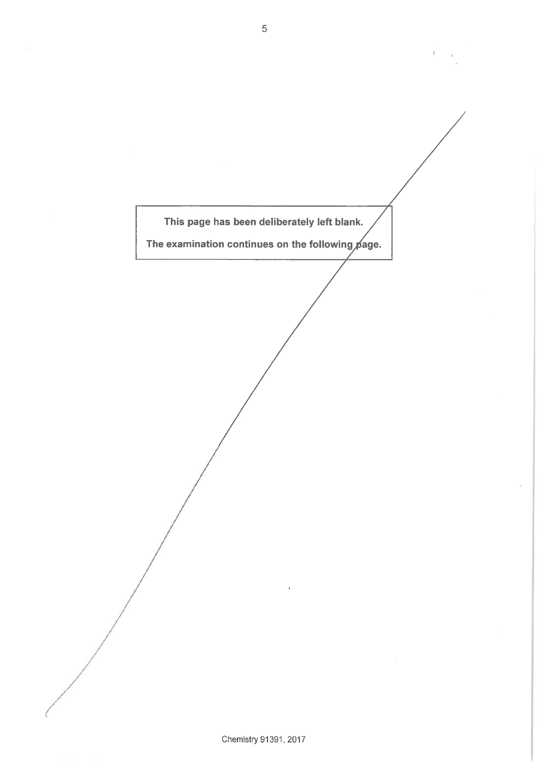

ï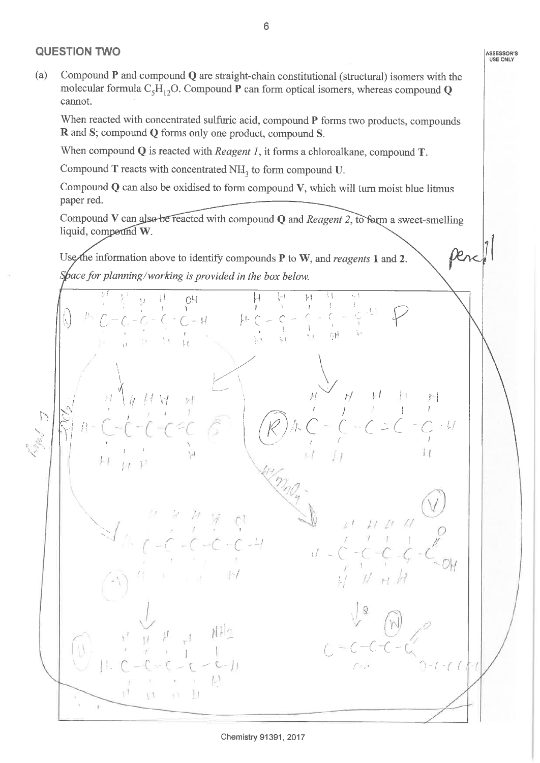## **QUESTION TWO**

 $(a)$ Compound  $P$  and compound  $Q$  are straight-chain constitutional (structural) isomers with the molecular formula  $C_5H_{12}O$ . Compound P can form optical isomers, whereas compound Q cannot.

When reacted with concentrated sulfuric acid, compound P forms two products, compounds R and S; compound Q forms only one product, compound S.

When compound  $Q$  is reacted with *Reagent 1*, it forms a chloroalkane, compound  $T$ .

Compound  $T$  reacts with concentrated  $NH<sub>3</sub>$  to form compound U.

Compound  $Q$  can also be oxidised to form compound  $V$ , which will turn moist blue litmus paper red.

Compound V can also be reacted with compound Q and Reagent 2, to form a sweet-smelling liquid, compound W.

Use the information above to identify compounds  $P$  to W, and reagents 1 and 2. Space for planning/working is provided in the box below.

OH.  $C - H$  $\frac{1}{2}$  $\sum_{i=1}^{n}$  $^{1}$ a, br ti V

ASSESSOR'S<br>USE ONLY

Den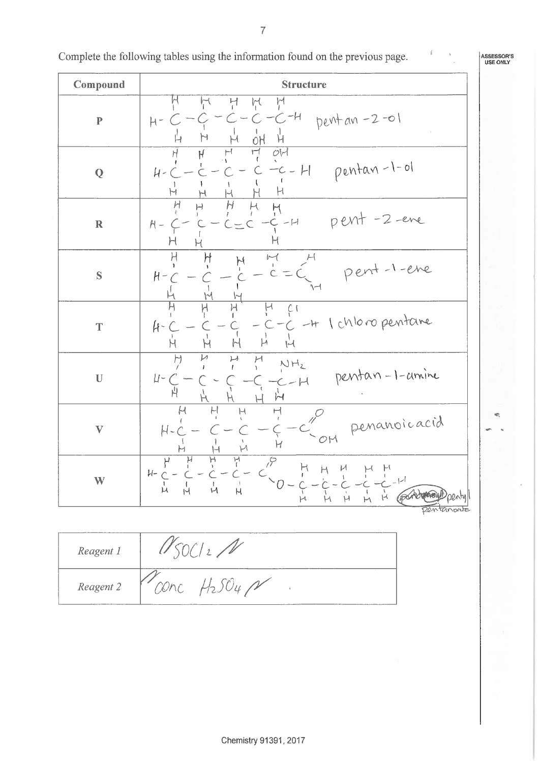$\overline{7}$ 

| Complete the following tables using the information found on the previous page. |  |
|---------------------------------------------------------------------------------|--|
|---------------------------------------------------------------------------------|--|

| Compound                  | <b>Structure</b>                                                                                                                          |  |  |
|---------------------------|-------------------------------------------------------------------------------------------------------------------------------------------|--|--|
| $\mathbf P$               | 넌<br>Ķ<br>ņ<br>$-H$<br>$pertan -2 -01$<br>-C<br>C,<br>$H -$<br>H<br>Ĥ<br>OH                                                               |  |  |
| Q                         | O <sup>1</sup><br>$\overline{\mathsf{r}}$<br>Н<br>H<br>H<br>$-c$ - H pentan-1-ol<br>$H-C$<br>H<br>М<br>Ч<br>H                             |  |  |
| $\mathbf R$               | H<br>H<br>$\mapsto$<br>pent-2-ene<br>$C = C - C - H$<br>$H -$<br>H<br>H<br>H                                                              |  |  |
| $\mathbf S$               | H<br>$\ensuremath{\mathop{\mathcal{M}}}\xspace$<br>H<br>$\overline{\mathcal{M}}$<br>H<br>pent-1-ene<br>$C = C$<br>$H -$<br>\—1            |  |  |
| T                         | C<br>+ 1 chloro pentane<br>ft-<br>-C<br>$\frac{1}{1}$<br>$\overline{\mu}$<br>H<br>H<br>н                                                  |  |  |
| $\mathbf U$               | $\downarrow$ )<br>H<br>Н<br>$NH_2$<br>pentan-1-amine<br>$\mu$ -<br>$C - H$<br>丹                                                           |  |  |
| $\boldsymbol{\mathrm{V}}$ | Н<br>닌<br>$\vdash$<br>$\vdash$<br>$\mathcal{P}$<br>penanoicacid<br>$H -$<br>C<br>H<br>$\uparrow$<br>Н<br>$H^-$                            |  |  |
| W                         | ਸ਼<br>$\varphi$<br>٢<br>$\vdash$<br>H<br>и<br>$H-C$<br>$\sim_O$<br>Ĥ<br>Ń<br>Н<br>Н<br>(portomous) pentyl<br>$\vdash$<br>μ<br>H<br>pentan |  |  |

| Reagent 1 |                          |
|-----------|--------------------------|
| Reagent 2 | $\overline{\phantom{a}}$ |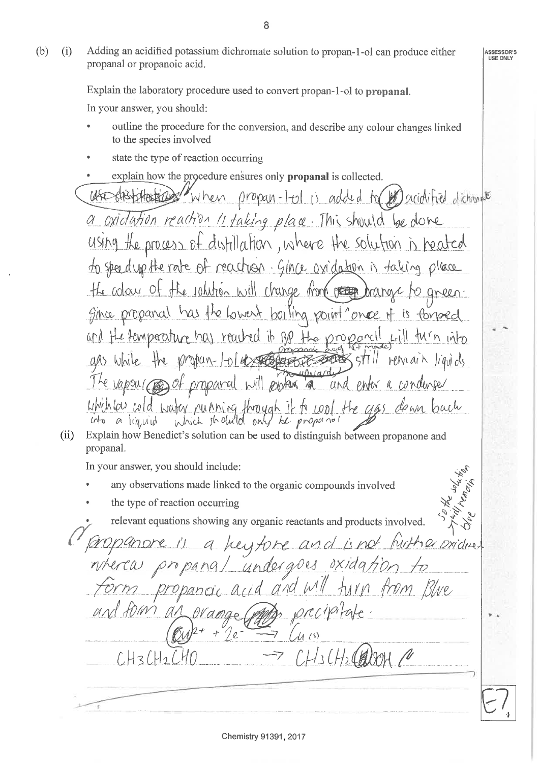Adding an acidified potassium dichromate solution to propan-1-ol can produce either  $(b)$  $(i)$ propanal or propanoic acid.

> Explain the laboratory procedure used to convert propan-1-ol to propanal. In your answer, you should:

- outline the procedure for the conversion, and describe any colour changes linked to the species involved
- state the type of reaction occurring
- explain how the procedure ensures only **propanal** is collected.
- when propan-l-ol is added to postatified dichrant oxidation reaction is faking place. This should be done  $USIM9$ the process of distillation, where the solution is heated to speed up the rate of reachion. Gince ovidation is taking place the colour of the johthen will change from people aneen. has the lowent boiling point once it Since propanal is formed and the temperature has reached it Rp the propanell  $M<sub>h</sub>$  into an while the propan-lold streament  $STI$ **Helmai**h The vapour cons of propared will protein and enter a condurser which low cold water running through it to cool bach  $H_{2}$   $U_{4}$
- Explain how Benedict's solution can be used to distinguish between propanone and  $(ii)$ propanal.

In your answer, you should include:

- any observations made linked to the organic compounds involved
- the type of reaction occurring

relevant equations showing any organic reactants and products involved.

a heyfore and is not hirther oxidues undergoes oxidation to from Blue  $C110$  $id$  $LH_3LH_2$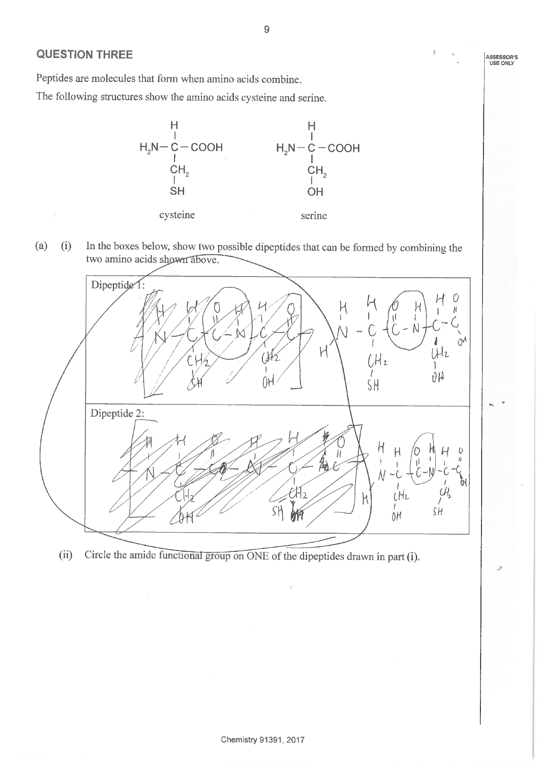### **QUESTION THREE**

Peptides are molecules that form when amino acids combine.

The following structures show the amino acids cysteine and serine.



In the boxes below, show two possible dipeptides that can be formed by combining the  $(a)$  $(i)$ two amino acids shown above.



Circle the amide functional group on ONE of the dipeptides drawn in part (i).  $(ii)$ 

ASSESSOR'S USE ONLY

 $\mathfrak{g}$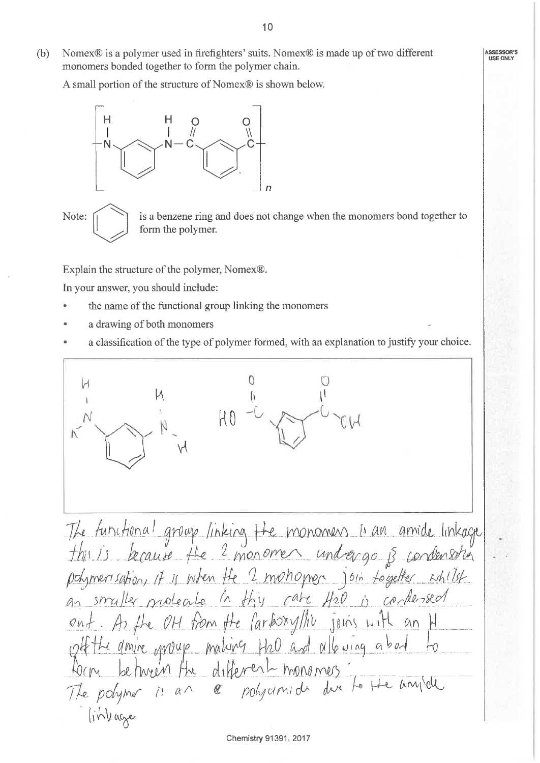$(b)$ Nomex<sup>®</sup> is a polymer used in firefighters' suits. Nomex<sup>®</sup> is made up of two different monomers bonded together to form the polymer chain.

A small portion of the structure of Nomex® is shown below.



Note:

is a benzene ring and does not change when the monomers bond together to form the polymer.

Explain the structure of the polymer, Nomex®.

In your answer, you should include:

- the name of the functional group linking the monomers
- a drawing of both monomers
- a classification of the type of polymer formed, with an explanation to justify your choice.

The functional group linking the monomers is an amide linkage<br>this is lacause the 2 monomers undergo is condensation an strailler protecte in this cate 420 is condensed ont. As the OH from the Carboxyllic joins with an M<br>continue oppour making the and allowing about to The polymer is an a polycimide due to the anyide linkage Chemistry 91391, 2017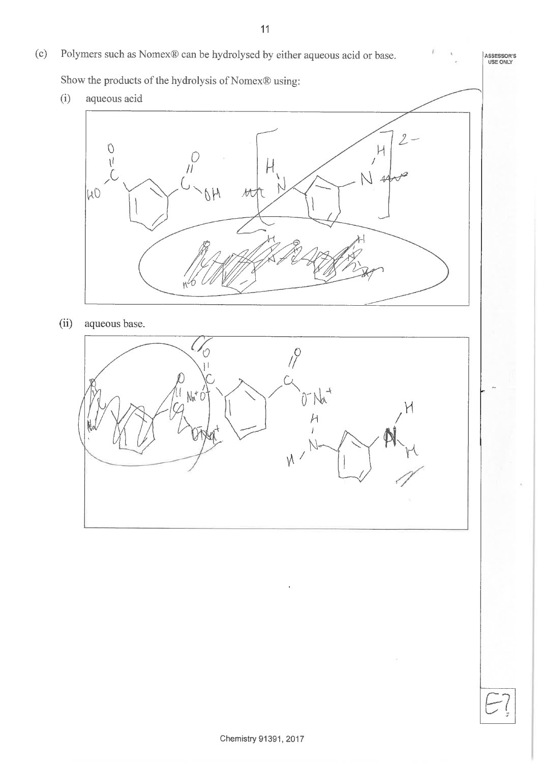$(c)$ Polymers such as Nomex® can be hydrolysed by either aqueous acid or base. ASSESSOR'S<br>USE ONLY Show the products of the hydrolysis of Nomex® using:  $(i)$ aqueous acid  $\overline{2}$  $\circ$  $H$  $\int_{l}^{D}$  $\mathcal{N}$  $\overline{1}$  $|\mu 0$ OH tt  $(ii)$ aqueous base.  $\zeta$ ′೧  $\int_{0}^{1}$ ΊI  $N^*$ 0  $\overline{\mathcal{C}}$  $\sqrt{}$ 

 $11$